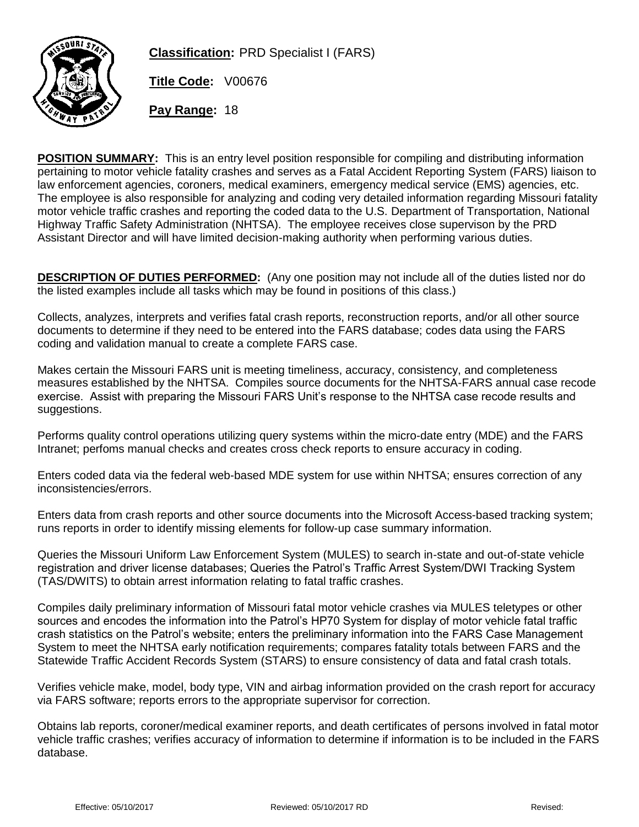

**Classification:** PRD Specialist I (FARS)

**Title Code:** V00676

**Pay Range:** 18

**POSITION SUMMARY:** This is an entry level position responsible for compiling and distributing information pertaining to motor vehicle fatality crashes and serves as a Fatal Accident Reporting System (FARS) liaison to law enforcement agencies, coroners, medical examiners, emergency medical service (EMS) agencies, etc. The employee is also responsible for analyzing and coding very detailed information regarding Missouri fatality motor vehicle traffic crashes and reporting the coded data to the U.S. Department of Transportation, National Highway Traffic Safety Administration (NHTSA). The employee receives close supervison by the PRD Assistant Director and will have limited decision-making authority when performing various duties.

**DESCRIPTION OF DUTIES PERFORMED:** (Any one position may not include all of the duties listed nor do the listed examples include all tasks which may be found in positions of this class.)

Collects, analyzes, interprets and verifies fatal crash reports, reconstruction reports, and/or all other source documents to determine if they need to be entered into the FARS database; codes data using the FARS coding and validation manual to create a complete FARS case.

Makes certain the Missouri FARS unit is meeting timeliness, accuracy, consistency, and completeness measures established by the NHTSA. Compiles source documents for the NHTSA-FARS annual case recode exercise. Assist with preparing the Missouri FARS Unit's response to the NHTSA case recode results and suggestions.

Performs quality control operations utilizing query systems within the micro-date entry (MDE) and the FARS Intranet; perfoms manual checks and creates cross check reports to ensure accuracy in coding.

Enters coded data via the federal web-based MDE system for use within NHTSA; ensures correction of any inconsistencies/errors.

Enters data from crash reports and other source documents into the Microsoft Access-based tracking system; runs reports in order to identify missing elements for follow-up case summary information.

Queries the Missouri Uniform Law Enforcement System (MULES) to search in-state and out-of-state vehicle registration and driver license databases; Queries the Patrol's Traffic Arrest System/DWI Tracking System (TAS/DWITS) to obtain arrest information relating to fatal traffic crashes.

Compiles daily preliminary information of Missouri fatal motor vehicle crashes via MULES teletypes or other sources and encodes the information into the Patrol's HP70 System for display of motor vehicle fatal traffic crash statistics on the Patrol's website; enters the preliminary information into the FARS Case Management System to meet the NHTSA early notification requirements; compares fatality totals between FARS and the Statewide Traffic Accident Records System (STARS) to ensure consistency of data and fatal crash totals.

Verifies vehicle make, model, body type, VIN and airbag information provided on the crash report for accuracy via FARS software; reports errors to the appropriate supervisor for correction.

Obtains lab reports, coroner/medical examiner reports, and death certificates of persons involved in fatal motor vehicle traffic crashes; verifies accuracy of information to determine if information is to be included in the FARS database.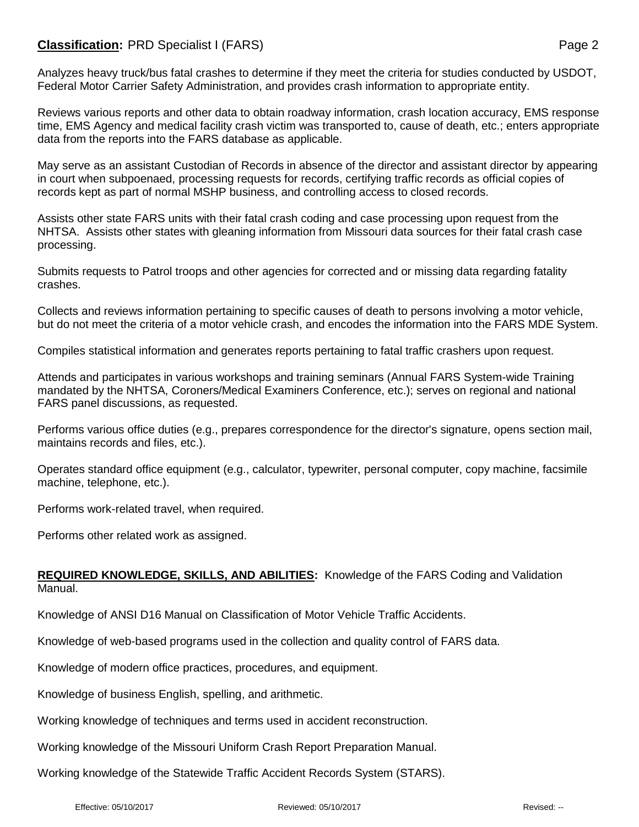## **Classification:** PRD Specialist I (FARS) **Page 2** Page 2

Analyzes heavy truck/bus fatal crashes to determine if they meet the criteria for studies conducted by USDOT, Federal Motor Carrier Safety Administration, and provides crash information to appropriate entity.

Reviews various reports and other data to obtain roadway information, crash location accuracy, EMS response time, EMS Agency and medical facility crash victim was transported to, cause of death, etc.; enters appropriate data from the reports into the FARS database as applicable.

May serve as an assistant Custodian of Records in absence of the director and assistant director by appearing in court when subpoenaed, processing requests for records, certifying traffic records as official copies of records kept as part of normal MSHP business, and controlling access to closed records.

Assists other state FARS units with their fatal crash coding and case processing upon request from the NHTSA. Assists other states with gleaning information from Missouri data sources for their fatal crash case processing.

Submits requests to Patrol troops and other agencies for corrected and or missing data regarding fatality crashes.

Collects and reviews information pertaining to specific causes of death to persons involving a motor vehicle, but do not meet the criteria of a motor vehicle crash, and encodes the information into the FARS MDE System.

Compiles statistical information and generates reports pertaining to fatal traffic crashers upon request.

Attends and participates in various workshops and training seminars (Annual FARS System-wide Training mandated by the NHTSA, Coroners/Medical Examiners Conference, etc.); serves on regional and national FARS panel discussions, as requested.

Performs various office duties (e.g., prepares correspondence for the director's signature, opens section mail, maintains records and files, etc.).

Operates standard office equipment (e.g., calculator, typewriter, personal computer, copy machine, facsimile machine, telephone, etc.).

Performs work-related travel, when required.

Performs other related work as assigned.

## **REQUIRED KNOWLEDGE, SKILLS, AND ABILITIES:** Knowledge of the FARS Coding and Validation Manual.

Knowledge of ANSI D16 Manual on Classification of Motor Vehicle Traffic Accidents.

Knowledge of web-based programs used in the collection and quality control of FARS data.

Knowledge of modern office practices, procedures, and equipment.

Knowledge of business English, spelling, and arithmetic.

Working knowledge of techniques and terms used in accident reconstruction.

Working knowledge of the Missouri Uniform Crash Report Preparation Manual.

Working knowledge of the Statewide Traffic Accident Records System (STARS).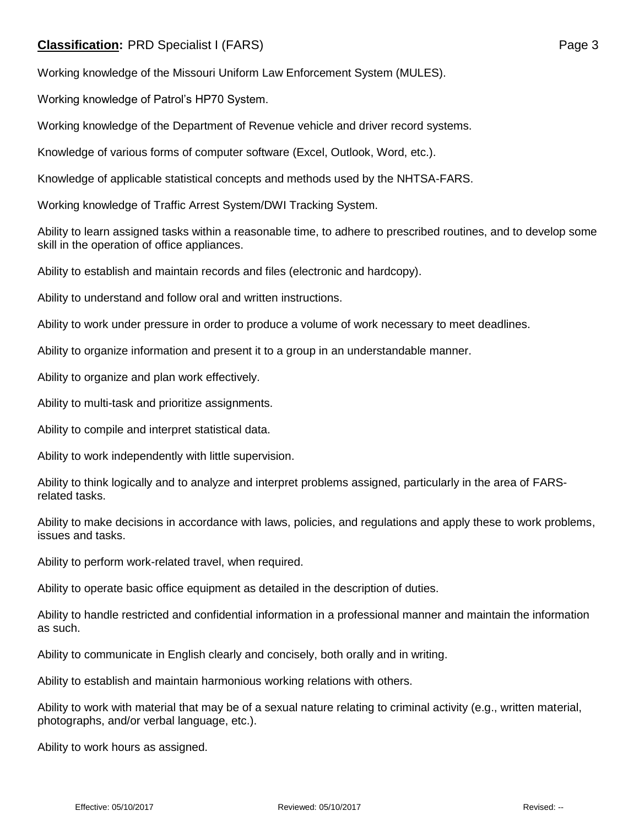## **Classification:** PRD Specialist I (FARS) **Page 3**

Working knowledge of the Missouri Uniform Law Enforcement System (MULES).

Working knowledge of Patrol's HP70 System.

Working knowledge of the Department of Revenue vehicle and driver record systems.

Knowledge of various forms of computer software (Excel, Outlook, Word, etc.).

Knowledge of applicable statistical concepts and methods used by the NHTSA-FARS.

Working knowledge of Traffic Arrest System/DWI Tracking System.

Ability to learn assigned tasks within a reasonable time, to adhere to prescribed routines, and to develop some skill in the operation of office appliances.

Ability to establish and maintain records and files (electronic and hardcopy).

Ability to understand and follow oral and written instructions.

Ability to work under pressure in order to produce a volume of work necessary to meet deadlines.

Ability to organize information and present it to a group in an understandable manner.

Ability to organize and plan work effectively.

Ability to multi-task and prioritize assignments.

Ability to compile and interpret statistical data.

Ability to work independently with little supervision.

Ability to think logically and to analyze and interpret problems assigned, particularly in the area of FARSrelated tasks.

Ability to make decisions in accordance with laws, policies, and regulations and apply these to work problems, issues and tasks.

Ability to perform work-related travel, when required.

Ability to operate basic office equipment as detailed in the description of duties.

Ability to handle restricted and confidential information in a professional manner and maintain the information as such.

Ability to communicate in English clearly and concisely, both orally and in writing.

Ability to establish and maintain harmonious working relations with others.

Ability to work with material that may be of a sexual nature relating to criminal activity (e.g., written material, photographs, and/or verbal language, etc.).

Ability to work hours as assigned.